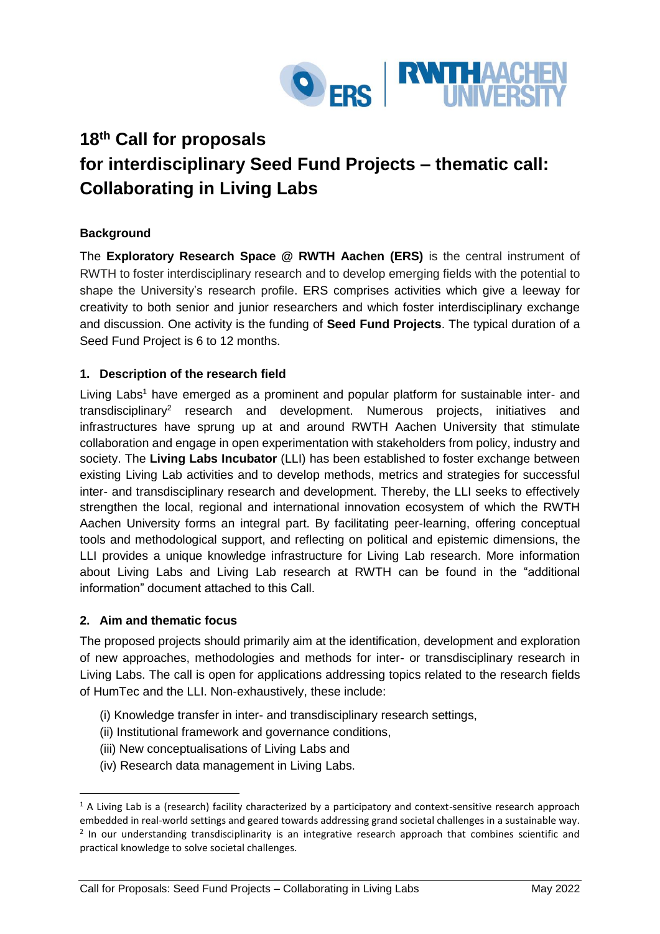

# **18th Call for proposals for interdisciplinary Seed Fund Projects – thematic call: Collaborating in Living Labs**

# **Background**

The **Exploratory Research Space @ RWTH Aachen (ERS)** is the central instrument of RWTH to foster interdisciplinary research and to develop emerging fields with the potential to shape the University's research profile. ERS comprises activities which give a leeway for creativity to both senior and junior researchers and which foster interdisciplinary exchange and discussion. One activity is the funding of **Seed Fund Projects**. The typical duration of a Seed Fund Project is 6 to 12 months.

# **1. Description of the research field**

Living Labs<sup>1</sup> have emerged as a prominent and popular platform for sustainable inter- and transdisciplinary<sup>2</sup> research and development. Numerous projects, initiatives and infrastructures have sprung up at and around RWTH Aachen University that stimulate collaboration and engage in open experimentation with stakeholders from policy, industry and society. The **Living Labs Incubator** (LLI) has been established to foster exchange between existing Living Lab activities and to develop methods, metrics and strategies for successful inter- and transdisciplinary research and development. Thereby, the LLI seeks to effectively strengthen the local, regional and international innovation ecosystem of which the RWTH Aachen University forms an integral part. By facilitating peer-learning, offering conceptual tools and methodological support, and reflecting on political and epistemic dimensions, the LLI provides a unique knowledge infrastructure for Living Lab research. More information about Living Labs and Living Lab research at RWTH can be found in the "additional information" document attached to this Call.

# **2. Aim and thematic focus**

1

The proposed projects should primarily aim at the identification, development and exploration of new approaches, methodologies and methods for inter- or transdisciplinary research in Living Labs. The call is open for applications addressing topics related to the research fields of HumTec and the LLI. Non-exhaustively, these include:

- (i) Knowledge transfer in inter- and transdisciplinary research settings,
- (ii) Institutional framework and governance conditions,
- (iii) New conceptualisations of Living Labs and
- (iv) Research data management in Living Labs.

 $1$  A Living Lab is a (research) facility characterized by a participatory and context-sensitive research approach embedded in real-world settings and geared towards addressing grand societal challenges in a sustainable way. <sup>2</sup> In our understanding transdisciplinarity is an integrative research approach that combines scientific and practical knowledge to solve societal challenges.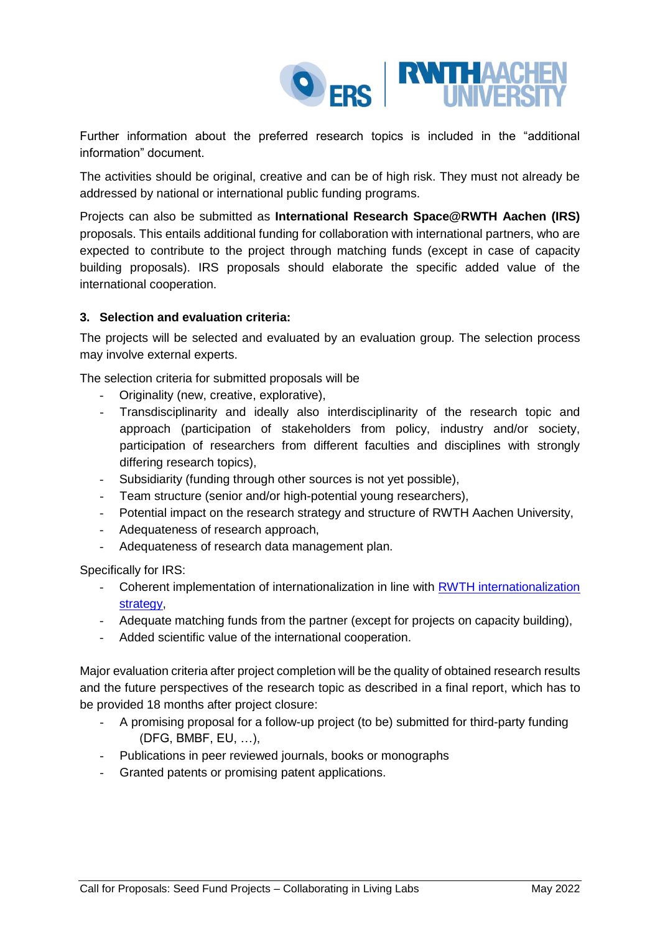

Further information about the preferred research topics is included in the "additional information" document.

The activities should be original, creative and can be of high risk. They must not already be addressed by national or international public funding programs.

Projects can also be submitted as **International Research Space@RWTH Aachen (IRS)** proposals. This entails additional funding for collaboration with international partners, who are expected to contribute to the project through matching funds (except in case of capacity building proposals). IRS proposals should elaborate the specific added value of the international cooperation.

## **3. Selection and evaluation criteria:**

The projects will be selected and evaluated by an evaluation group. The selection process may involve external experts.

The selection criteria for submitted proposals will be

- Originality (new, creative, explorative),
- Transdisciplinarity and ideally also interdisciplinarity of the research topic and approach (participation of stakeholders from policy, industry and/or society, participation of researchers from different faculties and disciplines with strongly differing research topics),
- Subsidiarity (funding through other sources is not yet possible),
- Team structure (senior and/or high-potential young researchers),
- Potential impact on the research strategy and structure of RWTH Aachen University,
- Adequateness of research approach,
- Adequateness of research data management plan.

Specifically for IRS:

- Coherent implementation of internationalization in line with **RWTH** internationalization strategy
- Adequate matching funds from the partner (except for projects on capacity building),
- Added scientific value of the international cooperation.

Major evaluation criteria after project completion will be the quality of obtained research results and the future perspectives of the research topic as described in a final report, which has to be provided 18 months after project closure:

- A promising proposal for a follow-up project (to be) submitted for third-party funding (DFG, BMBF, EU, …),
- Publications in peer reviewed journals, books or monographs
- Granted patents or promising patent applications.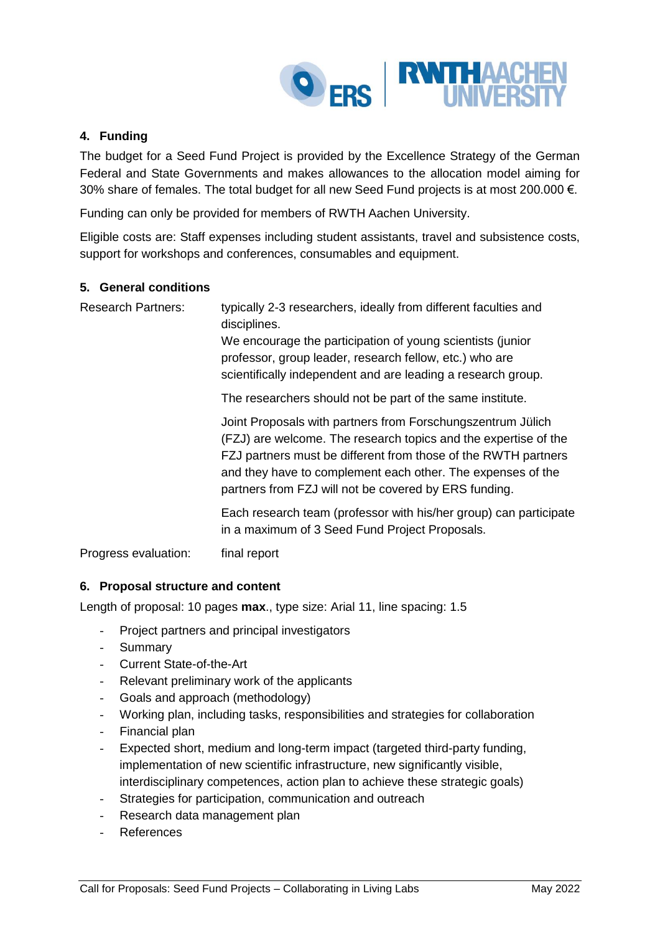

## **4. Funding**

The budget for a Seed Fund Project is provided by the Excellence Strategy of the German Federal and State Governments and makes allowances to the allocation model aiming for 30% share of females. The total budget for all new Seed Fund projects is at most 200.000  $\epsilon$ .

Funding can only be provided for members of RWTH Aachen University.

Eligible costs are: Staff expenses including student assistants, travel and subsistence costs, support for workshops and conferences, consumables and equipment.

### **5. General conditions**

Research Partners: typically 2-3 researchers, ideally from different faculties and disciplines.

> We encourage the participation of young scientists (junior professor, group leader, research fellow, etc.) who are scientifically independent and are leading a research group.

The researchers should not be part of the same institute.

Joint Proposals with partners from Forschungszentrum Jülich (FZJ) are welcome. The research topics and the expertise of the FZJ partners must be different from those of the RWTH partners and they have to complement each other. The expenses of the partners from FZJ will not be covered by ERS funding.

Each research team (professor with his/her group) can participate in a maximum of 3 Seed Fund Project Proposals.

Progress evaluation: final report

### **6. Proposal structure and content**

Length of proposal: 10 pages **max**., type size: Arial 11, line spacing: 1.5

- Project partners and principal investigators
- Summary
- Current State-of-the-Art
- Relevant preliminary work of the applicants
- Goals and approach (methodology)
- Working plan, including tasks, responsibilities and strategies for collaboration
- Financial plan
- Expected short, medium and long-term impact (targeted third-party funding, implementation of new scientific infrastructure, new significantly visible, interdisciplinary competences, action plan to achieve these strategic goals)
- Strategies for participation, communication and outreach
- Research data management plan
- **References**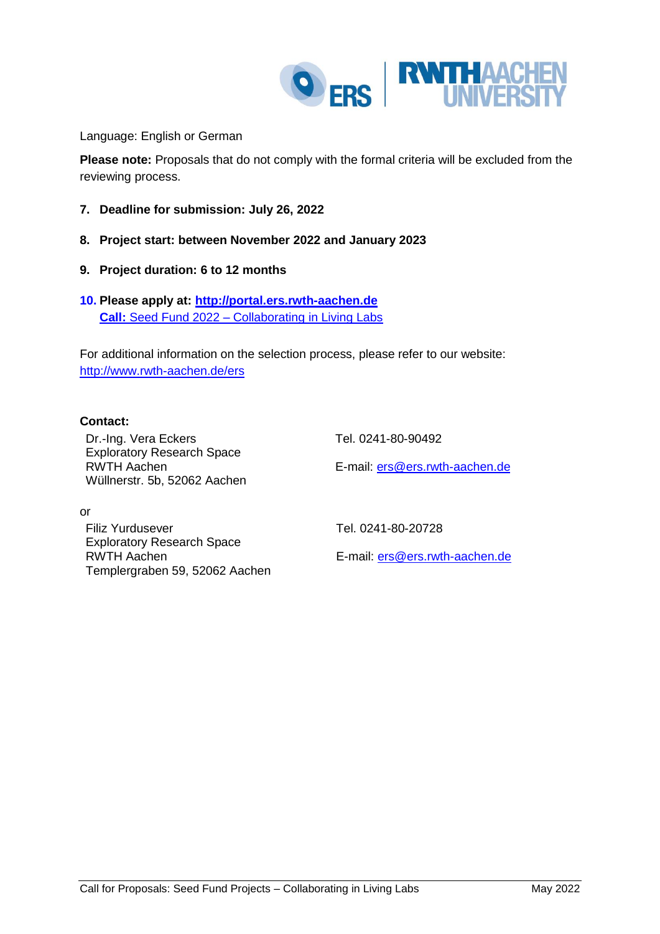

Language: English or German

**Please note:** Proposals that do not comply with the formal criteria will be excluded from the reviewing process.

- **7. Deadline for submission: July 26, 2022**
- **8. Project start: between November 2022 and January 2023**
- **9. Project duration: 6 to 12 months**
- **10. Please apply at: [http://portal.ers.rwth-aachen.de](http://portal.ers.rwth-aachen.de/) Call:** Seed Fund 2022 – Collaborating in Living Labs

For additional information on the selection process, please refer to our website: <http://www.rwth-aachen.de/ers>

### **Contact:**

Dr.-Ing. Vera Eckers Tel. 0241-80-90492 Exploratory Research Space RWTH Aachen Wüllnerstr. 5b, 52062 Aachen

E-mail: [ers@ers.rwth-aachen.de](mailto:ers@ers.rwth-aachen.de)

or

Filiz Yurdusever Tel. 0241-80-20728 Exploratory Research Space RWTH Aachen Templergraben 59, 52062 Aachen

E-mail: [ers@ers.rwth-aachen.de](mailto:ers@ers.rwth-aachen.de)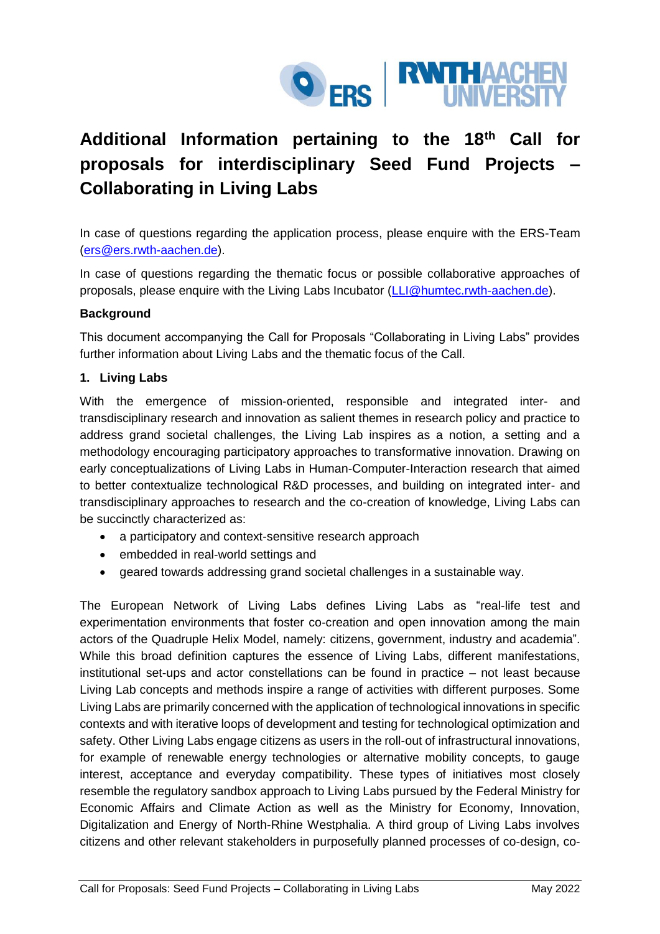

# **Additional Information pertaining to the 18th Call for proposals for interdisciplinary Seed Fund Projects – Collaborating in Living Labs**

In case of questions regarding the application process, please enquire with the ERS-Team [\(ers@ers.rwth-aachen.de\)](mailto:ers@ers.rwth-aachen.de).

In case of questions regarding the thematic focus or possible collaborative approaches of proposals, please enquire with the Living Labs Incubator [\(LLI@humtec.rwth-aachen.de\)](mailto:LLI@humtec.rwth-aachen.de).

## **Background**

This document accompanying the Call for Proposals "Collaborating in Living Labs" provides further information about Living Labs and the thematic focus of the Call.

## **1. Living Labs**

With the emergence of mission-oriented, responsible and integrated inter- and transdisciplinary research and innovation as salient themes in research policy and practice to address grand societal challenges, the Living Lab inspires as a notion, a setting and a methodology encouraging participatory approaches to transformative innovation. Drawing on early conceptualizations of Living Labs in Human-Computer-Interaction research that aimed to better contextualize technological R&D processes, and building on integrated inter- and transdisciplinary approaches to research and the co-creation of knowledge, Living Labs can be succinctly characterized as:

- a participatory and context-sensitive research approach
- embedded in real-world settings and
- geared towards addressing grand societal challenges in a sustainable way.

The European Network of Living Labs defines Living Labs as "real-life test and experimentation environments that foster co-creation and open innovation among the main actors of the Quadruple Helix Model, namely: citizens, government, industry and academia". While this broad definition captures the essence of Living Labs, different manifestations, institutional set-ups and actor constellations can be found in practice – not least because Living Lab concepts and methods inspire a range of activities with different purposes. Some Living Labs are primarily concerned with the application of technological innovations in specific contexts and with iterative loops of development and testing for technological optimization and safety. Other Living Labs engage citizens as users in the roll-out of infrastructural innovations, for example of renewable energy technologies or alternative mobility concepts, to gauge interest, acceptance and everyday compatibility. These types of initiatives most closely resemble the regulatory sandbox approach to Living Labs pursued by the Federal Ministry for Economic Affairs and Climate Action as well as the Ministry for Economy, Innovation, Digitalization and Energy of North-Rhine Westphalia. A third group of Living Labs involves citizens and other relevant stakeholders in purposefully planned processes of co-design, co-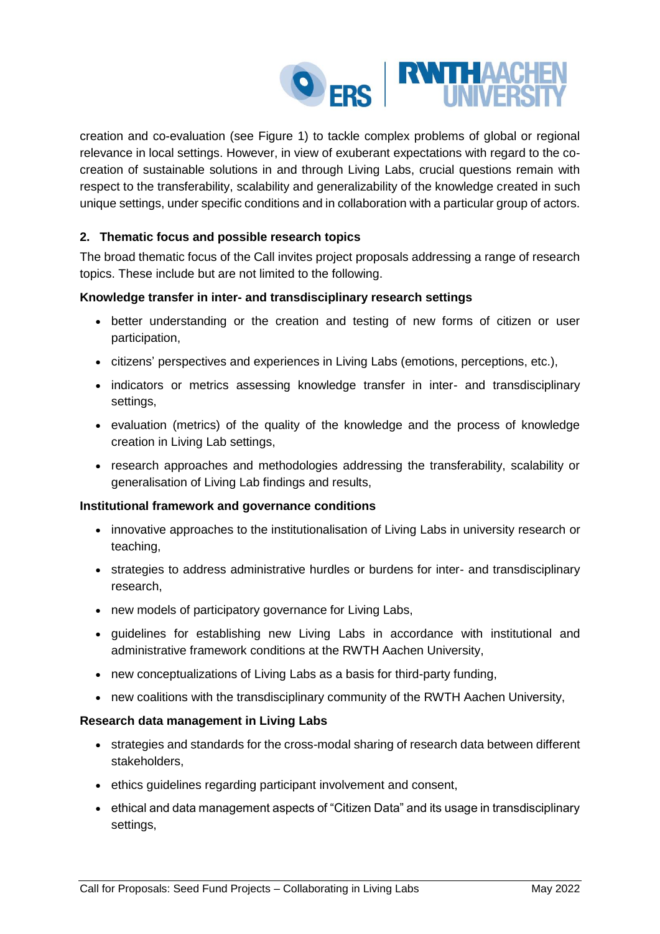

creation and co-evaluation (see [Figure 1\)](#page-6-0) to tackle complex problems of global or regional relevance in local settings. However, in view of exuberant expectations with regard to the cocreation of sustainable solutions in and through Living Labs, crucial questions remain with respect to the transferability, scalability and generalizability of the knowledge created in such unique settings, under specific conditions and in collaboration with a particular group of actors.

# **2. Thematic focus and possible research topics**

The broad thematic focus of the Call invites project proposals addressing a range of research topics. These include but are not limited to the following.

## **Knowledge transfer in inter- and transdisciplinary research settings**

- better understanding or the creation and testing of new forms of citizen or user participation,
- citizens' perspectives and experiences in Living Labs (emotions, perceptions, etc.),
- indicators or metrics assessing knowledge transfer in inter- and transdisciplinary settings,
- evaluation (metrics) of the quality of the knowledge and the process of knowledge creation in Living Lab settings,
- research approaches and methodologies addressing the transferability, scalability or generalisation of Living Lab findings and results,

### **Institutional framework and governance conditions**

- innovative approaches to the institutionalisation of Living Labs in university research or teaching,
- strategies to address administrative hurdles or burdens for inter- and transdisciplinary research,
- new models of participatory governance for Living Labs,
- guidelines for establishing new Living Labs in accordance with institutional and administrative framework conditions at the RWTH Aachen University,
- new conceptualizations of Living Labs as a basis for third-party funding,
- new coalitions with the transdisciplinary community of the RWTH Aachen University,

### **Research data management in Living Labs**

- strategies and standards for the cross-modal sharing of research data between different stakeholders,
- ethics guidelines regarding participant involvement and consent,
- ethical and data management aspects of "Citizen Data" and its usage in transdisciplinary settings,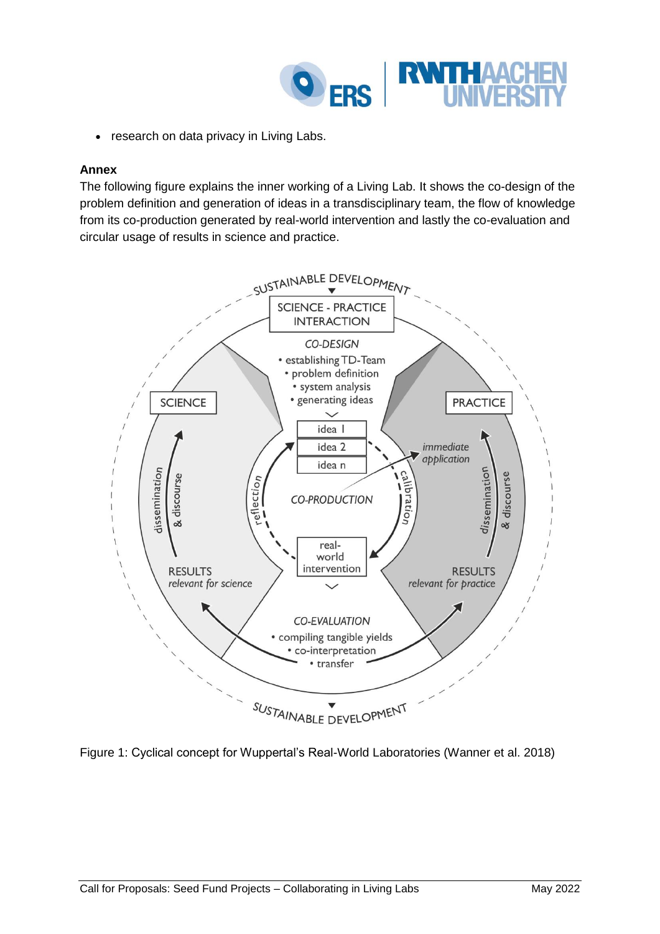

research on data privacy in Living Labs.

### **Annex**

The following figure explains the inner working of a Living Lab. It shows the co-design of the problem definition and generation of ideas in a transdisciplinary team, the flow of knowledge from its co-production generated by real-world intervention and lastly the co-evaluation and circular usage of results in science and practice.



<span id="page-6-0"></span>Figure 1: Cyclical concept for Wuppertal's Real-World Laboratories (Wanner et al. 2018)